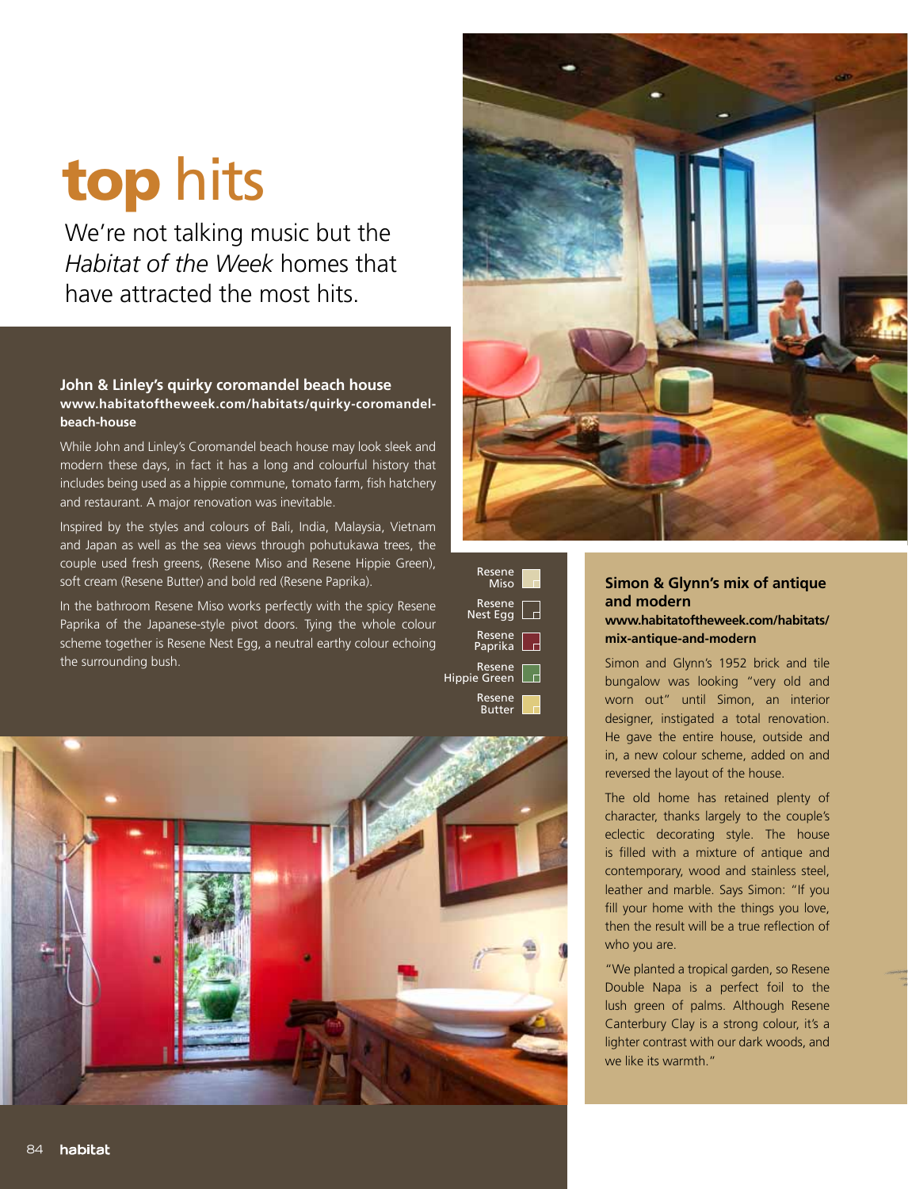# top hits

We're not talking music but the *Habitat of the Week* homes that have attracted the most hits.

#### **John & Linley's quirky coromandel beach house www.habitatoftheweek.com/habitats/quirky-coromandelbeach-house**

While John and Linley's Coromandel beach house may look sleek and modern these days, in fact it has a long and colourful history that includes being used as a hippie commune, tomato farm, fish hatchery and restaurant. A major renovation was inevitable.

Inspired by the styles and colours of Bali, India, Malaysia, Vietnam and Japan as well as the sea views through pohutukawa trees, the couple used fresh greens, (Resene Miso and Resene Hippie Green), soft cream (Resene Butter) and bold red (Resene Paprika).

In the bathroom Resene Miso works perfectly with the spicy Resene Paprika of the Japanese-style pivot doors. Tying the whole colour scheme together is Resene Nest Egg, a neutral earthy colour echoing the surrounding bush.







## **Simon & Glynn's mix of antique and modern**

#### **www.habitatoftheweek.com/habitats/ mix-antique-and-modern**

Simon and Glynn's 1952 brick and tile bungalow was looking "very old and worn out" until Simon, an interior designer, instigated a total renovation. He gave the entire house, outside and in, a new colour scheme, added on and reversed the layout of the house.

The old home has retained plenty of character, thanks largely to the couple's eclectic decorating style. The house is filled with a mixture of antique and contemporary, wood and stainless steel, leather and marble. Says Simon: "If you fill your home with the things you love, then the result will be a true reflection of who you are.

"We planted a tropical garden, so Resene Double Napa is a perfect foil to the lush green of palms. Although Resene Canterbury Clay is a strong colour, it's a lighter contrast with our dark woods, and we like its warmth."